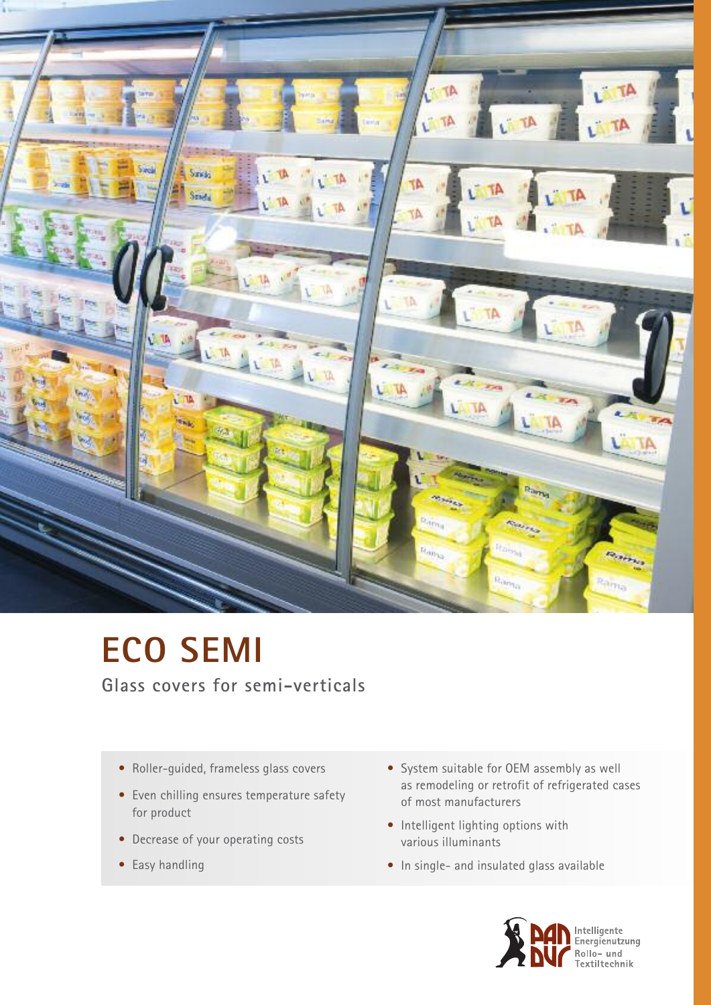

# **ECO SEMI**

**Glass covers for semi-verticals**

- Roller-guided, frameless glass covers
- Even chilling ensures temperature safety for product
- Decrease of your operating costs
- Easy handling
- System suitable for OEM assembly as well as remodeling or retrofit of refrigerated cases of most manufacturers
- Intelligent lighting options with various illuminants
- In single- and insulated glass available

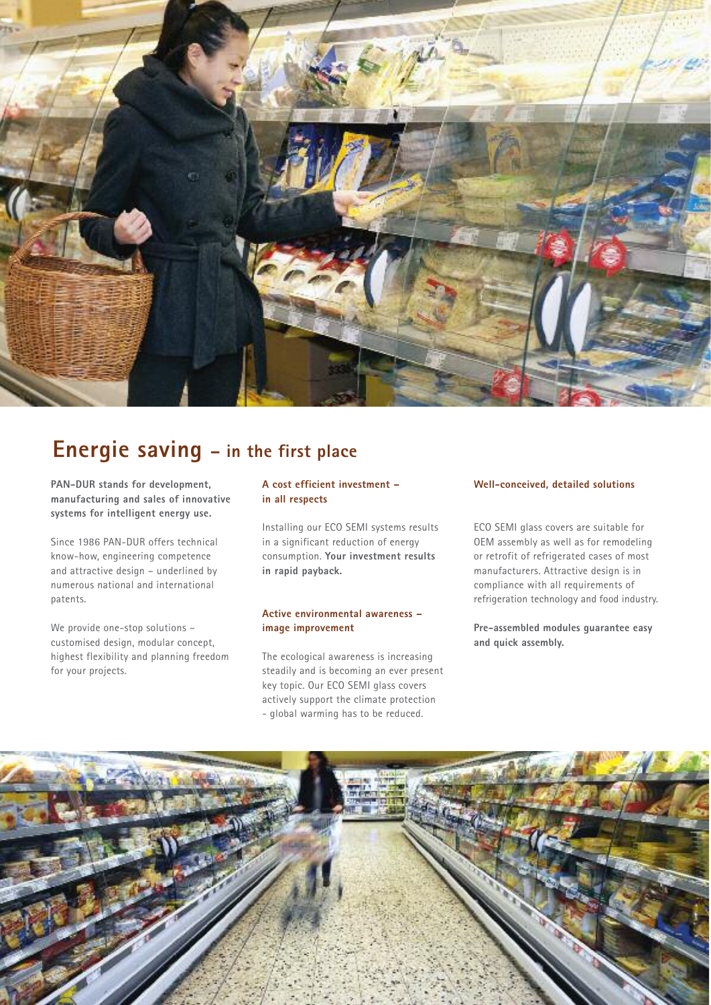

### **Energie saving – in the first place**

**PAN-DUR stands for development, manufacturing and sales of innovative systems for intelligent energy use.**

Since 1986 PAN-DUR offers technical know-how, engineering competence and attractive design – underlined by numerous national and international patents.

We provide one-stop solutions – customised design, modular concept, highest flexibility and planning freedom for your projects.

#### **A cost efficient investment – in all respects**

Installing our ECO SEMI systems results in a significant reduction of energy consumption. **Your investment results in rapid payback.**

#### **Active environmental awareness – image improvement**

The ecological awareness is increasing steadily and is becoming an ever present key topic. Our ECO SEMI glass covers actively support the climate protection - global warming has to be reduced.

#### **Well-conceived, detailed solutions**

ECO SEMI glass covers are suitable for OEM assembly as well as for remodeling or retrofit of refrigerated cases of most manufacturers. Attractive design is in compliance with all requirements of refrigeration technology and food industry.

**Pre-assembled modules guarantee easy and quick assembly.**

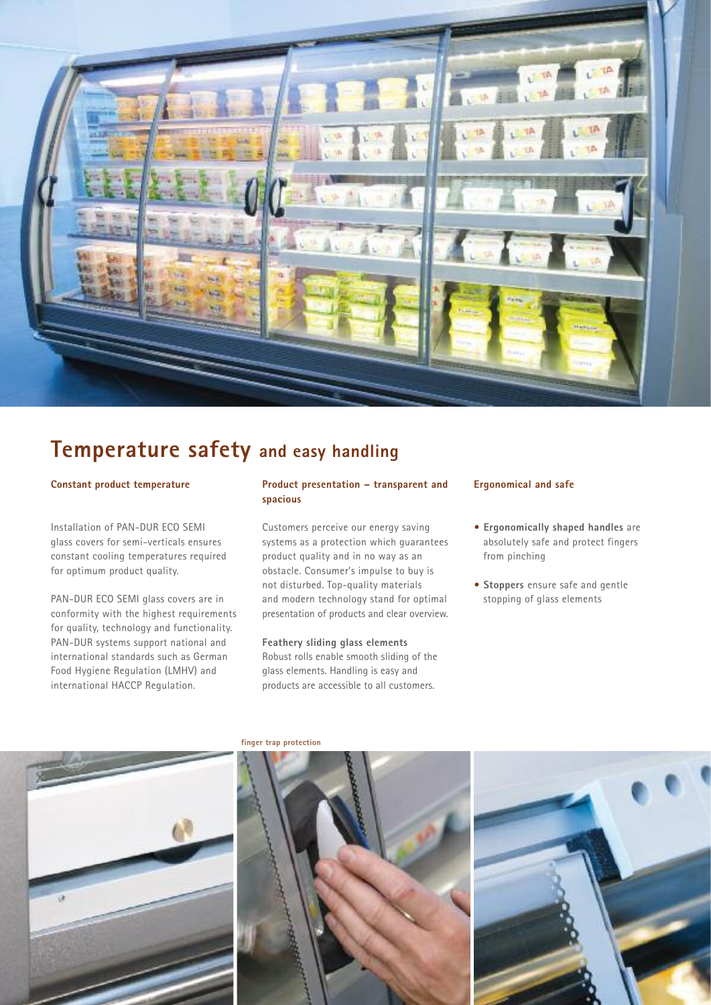

### **Temperature safety and easy handling**

#### **Constant product temperature**

Installation of PAN-DUR ECO SEMI glass covers for semi-verticals ensures constant cooling temperatures required for optimum product quality.

PAN-DUR ECO SEMI glass covers are in conformity with the highest requirements for quality, technology and functionality. PAN-DUR systems support national and international standards such as German Food Hygiene Regulation (LMHV) and international HACCP Regulation.

#### **Product presentation – transparent and spacious**

Customers perceive our energy saving systems as a protection which guarantees product quality and in no way as an obstacle. Consumer's impulse to buy is not disturbed. Top-quality materials and modern technology stand for optimal presentation of products and clear overview.

#### **Feathery sliding glass elements**

Robust rolls enable smooth sliding of the glass elements. Handling is easy and products are accessible to all customers.

#### **Ergonomical and safe**

- **• Ergonomically shaped handles** are absolutely safe and protect fingers from pinching
- **• Stoppers** ensure safe and gentle stopping of glass elements



**finger trap protection**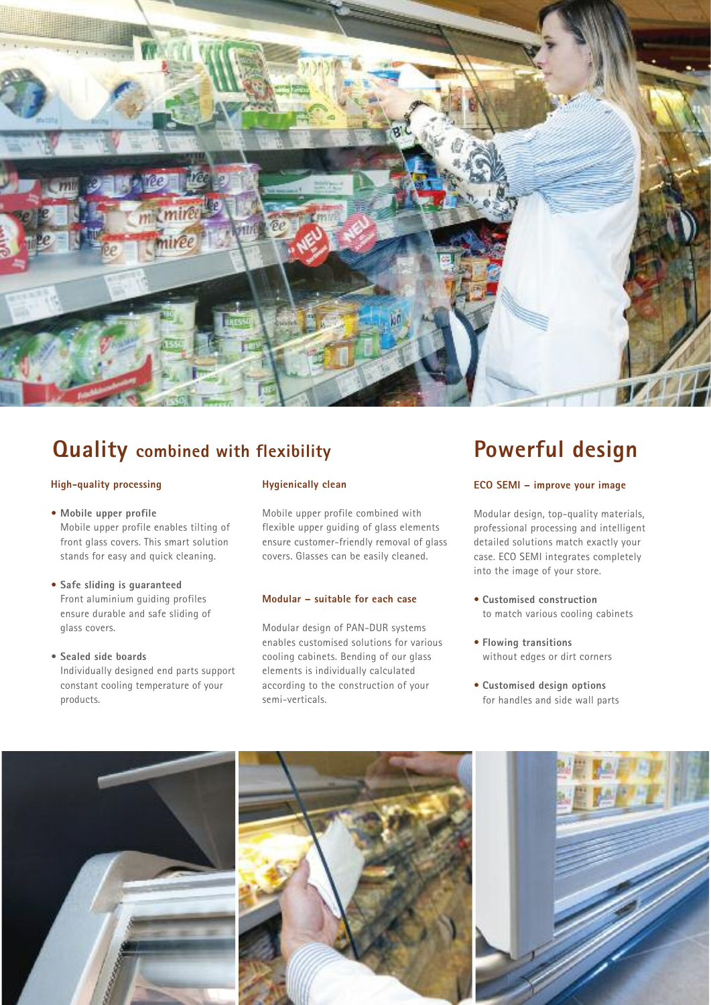

## **Quality combined with flexibility Powerful design**

#### **High-quality processing**

**• Mobile upper profile** Mobile upper profile enables tilting of front glass covers. This smart solution stands for easy and quick cleaning.

- **• Safe sliding is guaranteed** Front aluminium guiding profiles ensure durable and safe sliding of glass covers.
- **• Sealed side boards** Individually designed end parts support constant cooling temperature of your products.

#### **Hygienically clean**

Mobile upper profile combined with flexible upper guiding of glass elements ensure customer-friendly removal of glass covers. Glasses can be easily cleaned.

#### **Modular – suitable for each case**

Modular design of PAN-DUR systems enables customised solutions for various cooling cabinets. Bending of our glass elements is individually calculated according to the construction of your semi-verticals.

#### **ECO SEMI – improve your image**

Modular design, top-quality materials, professional processing and intelligent detailed solutions match exactly your case. ECO SEMI integrates completely into the image of your store.

- **Customised construction** to match various cooling cabinets
- **Flowing transitions** without edges or dirt corners
- **Customised design options** for handles and side wall parts

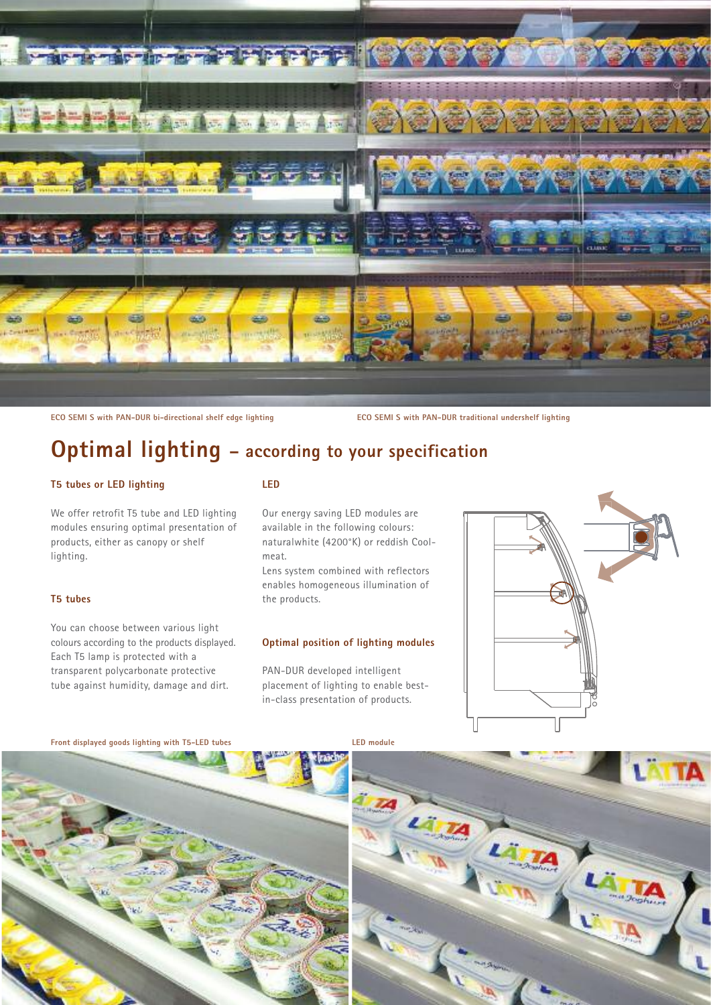

**ECO SEMI S with PAN-DUR bi-directional shelf edge lighting**

**ECO SEMI S with PAN-DUR traditional undershelf lighting**

### **Optimal lighting – according to your specification**

#### **T5 tubes or LED lighting**

We offer retrofit T5 tube and LED lighting modules ensuring optimal presentation of products, either as canopy or shelf lighting.

#### **T5 tubes**

You can choose between various light colours according to the products displayed. Each T5 lamp is protected with a transparent polycarbonate protective tube against humidity, damage and dirt.

#### **LED**

Our energy saving LED modules are available in the following colours: naturalwhite (4200°K) or reddish Coolmeat.

Lens system combined with reflectors enables homogeneous illumination of the products.

#### **Optimal position of lighting modules**

PAN-DUR developed intelligent placement of lighting to enable bestin-class presentation of products.